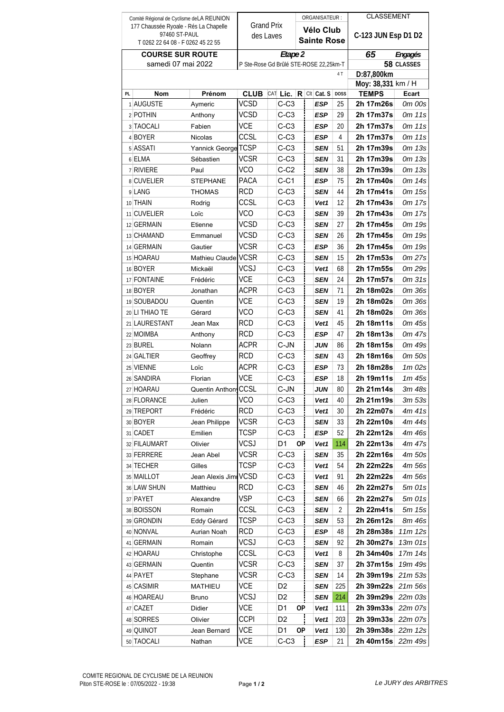| Comité Régional de Cyclisme de LA REUNION          |                          |                                 |                                        |  |                  |           |  | ORGANISATEUR:      |                    | <b>CLASSEMENT</b>      |                  |
|----------------------------------------------------|--------------------------|---------------------------------|----------------------------------------|--|------------------|-----------|--|--------------------|--------------------|------------------------|------------------|
| 177 Chaussée Ryoale - Rés La Chapelle              |                          |                                 | <b>Grand Prix</b>                      |  |                  | Vélo Club |  |                    |                    |                        |                  |
| 97460 ST-PAUL<br>T 0262 22 64 08 - F 0262 45 22 55 |                          |                                 | des Laves                              |  |                  |           |  | <b>Sainte Rose</b> |                    | C-123 JUN Esp D1 D2    |                  |
| <b>COURSE SUR ROUTE</b>                            |                          |                                 | Etape 2                                |  |                  |           |  |                    |                    | 65<br>Engagés          |                  |
| samedi 07 mai 2022                                 |                          |                                 | P Ste-Rose Gd Brûlé STE-ROSE 22,25km-T |  |                  |           |  |                    | 58 CLASSES         |                        |                  |
|                                                    |                          |                                 |                                        |  |                  |           |  |                    | 4 T                | D:87,800km             |                  |
|                                                    |                          |                                 |                                        |  |                  |           |  |                    | Moy: 38,331 km / H |                        |                  |
| PL                                                 | <b>Nom</b>               | Prénom                          | <b>CLUB</b> CAT Lic. R CIt Cat. S      |  |                  |           |  |                    | <b>DOSS</b>        | TEMPS                  | Ecart            |
|                                                    | 1 AUGUSTE                | Aymeric                         | <b>VCSD</b>                            |  | $C-C3$           |           |  | ESP                | 25                 | 2h 17m26s              | 0m 00s           |
|                                                    | 2 POTHIN                 | Anthony                         | VCSD                                   |  | $C-C3$           |           |  | ESP                | 29                 | 2h 17m37s              | 0m 11s           |
|                                                    | 3 TAOCALI                | Fabien                          | <b>VCE</b>                             |  | $C-C3$           |           |  | ESP                | 20                 | 2h 17m37s              | 0m 11s           |
|                                                    | 4 BOYER                  | Nicolas                         | CCSL                                   |  | $C-C3$           |           |  | ESP                | 4                  | 2h 17m37s              | 0m 11s           |
|                                                    | 5 ASSATI                 | Yannick George TCSP             |                                        |  | $C-C3$           |           |  | SEN                | 51                 | 2h 17m39s              | 0m 13s           |
|                                                    | 6 ELMA                   | Sébastien                       | <b>VCSR</b>                            |  | $C-C3$           |           |  | SEN                | 31                 | 2h 17m39s              | 0m 13s           |
|                                                    | 7 RIVIERE                | Paul                            | <b>VCO</b>                             |  | $C-C2$           |           |  | SEN                | 38                 | 2h 17m39s              | 0m 13s           |
|                                                    | 8 CUVELIER               | STEPHANE                        | PACA                                   |  | C-C1             |           |  | ESP                | 75                 | 2h 17m40s              | 0m 14s           |
|                                                    | 9 LANG                   | THOMAS                          | <b>RCD</b>                             |  | $C-C3$           |           |  | SEN                | 44                 | 2h 17m41s              | 0m 15s           |
|                                                    | 10 THAIN                 | Rodrig                          | CCSL                                   |  | $C-C3$           |           |  | Vet1               | 12                 | 2h 17m43s              | 0m 17s           |
|                                                    | 11 CUVELIER              | Loïc                            | <b>VCO</b>                             |  | $C-C3$           |           |  | SEN                | 39                 | 2h 17m43s              | 0m 17s           |
|                                                    | 12 GERMAIN               | Etienne                         | <b>VCSD</b>                            |  | $C-C3$           |           |  | SEN                | 27                 | 2h 17m45s              | 0m 19s           |
|                                                    | 13 CHAMAND               | Emmanuel                        | <b>VCSD</b>                            |  | $C-C3$           |           |  | SEN                | 26                 | 2h 17m45s              | 0m 19s           |
|                                                    | 14 GERMAIN               | Gautier                         | <b>VCSR</b>                            |  | $C-C3$           |           |  | ESP                | 36                 | 2h 17m45s              | 0m 19s           |
|                                                    | 15 HOARAU                | Mathieu Claude VCSR             |                                        |  | $C-C3$           |           |  | SEN                | 15                 | 2h 17m53s              | 0m 27s           |
|                                                    | 16 BOYER                 | Mickaël                         | <b>VCSJ</b>                            |  | $C-C3$           |           |  | Vet1               | 68                 | 2h 17m55s              | 0m 29s           |
|                                                    | 17 FONTAINE              | Frédéric                        | <b>VCE</b>                             |  | $C-C3$           |           |  | SEN                | 24                 | 2h 17m57s              | 0m 31s           |
|                                                    | 18 BOYER                 | Jonathan                        | <b>ACPR</b>                            |  | $C-C3$           |           |  | SEN                | 71                 | 2h 18m02s              | 0m 36s           |
|                                                    | 19 SOUBADOU              | Quentin                         | <b>VCE</b>                             |  | $C-C3$           |           |  | SEN                | 19                 | 2h 18m02s              | 0m 36s           |
|                                                    | 20 LI THIAO TE           | Gérard                          | <b>VCO</b>                             |  | $C-C3$           |           |  | SEN                | 41                 | 2h 18m02s              | 0m 36s           |
|                                                    | 21 LAURESTANT            | Jean Max                        | <b>RCD</b>                             |  | $C-C3$           |           |  | Vet1               | 45                 | 2h 18m11s              | 0m 45s           |
|                                                    | 22 MOIMBA                | Anthony                         | <b>RCD</b>                             |  | $C-C3$           |           |  | ESP                | 47                 | 2h 18m13s              | 0m 47s           |
|                                                    | 23 BUREL                 | Nolann                          | <b>ACPR</b>                            |  | C-JN             |           |  | JUN                | 86                 | 2h 18m15s              | 0m 49s           |
|                                                    | 24 GALTIER<br>25 VIENNE  | Geoffrey                        | <b>RCD</b><br>ACPR                     |  | $C-C3$<br>$C-C3$ |           |  | SEN                | 43                 | 2h 18m16s              | 0m 50s           |
|                                                    | 26 SANDIRA               | Loïc                            | VCE                                    |  | $C-C3$           |           |  | ESP                | 73<br>18           | 2h 18m28s<br>2h 19m11s | 1m 02s<br>1m 45s |
|                                                    |                          | Florian<br>Quentin Anthony CCSL |                                        |  |                  |           |  | ESP                | 80                 |                        | 3m 48s           |
|                                                    | 27 HOARAU<br>28 FLORANCE |                                 | <b>VCO</b>                             |  | C-JN<br>$C-C3$   |           |  | JUN                | 40                 | 2h 21m14s<br>2h 21m19s |                  |
|                                                    | 29 TREPORT               | Julien<br>Frédéric              | <b>RCD</b>                             |  | $C-C3$           |           |  | Vet1<br>Vet1       | 30                 | 2h 22m07s              | 3m 53s<br>4m 41s |
|                                                    | 30 BOYER                 | Jean Philippe                   | VCSR                                   |  | C-C3             |           |  | SEN                | 33                 | 2h 22m10s              | 4m 44s           |
|                                                    | 31 CADET                 | Emilien                         | <b>TCSP</b>                            |  | C-C3             |           |  | ESP                | 52                 | 2h 22m12s              | 4m 46s           |
|                                                    | 32 FILAUMART             | Olivier                         | VCSJ                                   |  | D1               | <b>OP</b> |  | Vet1               | 114                | 2h 22m13s              | 4m 47s           |
|                                                    | 33 FERRERE               | Jean Abel                       | VCSR                                   |  | C-C3             |           |  | SEN                | 35                 | 2h 22m16s              | 4m 50s           |
|                                                    | 34 TECHER                | Gilles                          | TCSP                                   |  | C-C3             |           |  | Vet1               | 54                 | 2h 22m22s              | 4m 56s           |
|                                                    | 35 MAILLOT               | Jean Alexis Jimr VCSD           |                                        |  | $C-C3$           |           |  | Vet1               | 91                 | 2h 22m22s              | 4m 56s           |
|                                                    | 36 LAW SHUN              | Matthieu                        | <b>RCD</b>                             |  | C-C3             |           |  | SEN                | 46                 | 2h 22m27s              | 5m 01s           |
|                                                    | 37 PAYET                 | Alexandre                       | <b>VSP</b>                             |  | $C-C3$           |           |  | SEN                | 66                 | 2h 22m27s              | 5m 01s           |
|                                                    | 38 BOISSON               | Romain                          | CCSL                                   |  | $C-C3$           |           |  | SEN                | 2                  | 2h 22m41s              | 5m 15s           |
|                                                    | 39 GRONDIN               | Eddy Gérard                     | TCSP                                   |  | $C-C3$           |           |  | SEN                | 53                 | 2h 26m12s              | 8m 46s           |
|                                                    | 40 NONVAL                | Aurian Noah                     | RCD                                    |  | C-C3             |           |  | ESP                | 48                 | 2h 28m38s              | 11m 12s          |
|                                                    | 41 GERMAIN               | Romain                          | VCSJ                                   |  | $C-C3$           |           |  | SEN                | 92                 | 2h 30m27s              | 13m 01s          |
|                                                    | 42 HOARAU                | Christophe                      | CCSL                                   |  | $C-C3$           |           |  | Vet1               | 8                  | 2h 34m40s              | 17m 14s          |
|                                                    | 43 GERMAIN               | Quentin                         | VCSR                                   |  | C-C3             |           |  | SEN                | 37                 | 2h 37m15s              | 19m 49s          |
|                                                    | 44 PAYET                 | Stephane                        | VCSR                                   |  | $C-C3$           |           |  | SEN                | 14                 | 2h 39m19s              | 21m 53s          |
|                                                    | 45 CASIMIR               | MATHIEU                         | VCE                                    |  | D2               |           |  | SEN                | 225                | 2h 39m22s              | 21m 56s          |
|                                                    | 46 HOAREAU               | Bruno                           | VCSJ                                   |  | D2               |           |  | SEN                | 214                | 2h 39m29s              | 22m 03s          |
|                                                    | 47 CAZET                 | Didier                          | VCE                                    |  | D1               | ОP        |  | Vet1               | 111                | 2h 39m33s              | 22m 07s          |
|                                                    | 48 SORRES                | Olivier                         | <b>CCPI</b>                            |  | D2               |           |  | Vet1               | 203                | 2h 39m33s              | 22m 07s          |
|                                                    | 49 QUINOT                | Jean Bernard                    | VCE                                    |  | D1               | <b>OP</b> |  | Vet1               | 130                | 2h 39m38s              | 22m 12s          |
|                                                    | 50 TAOCALI               | Nathan                          | VCE                                    |  | C-C3             |           |  | <b>ESP</b>         | 21                 | 2h 40m15s              | 22m 49s          |